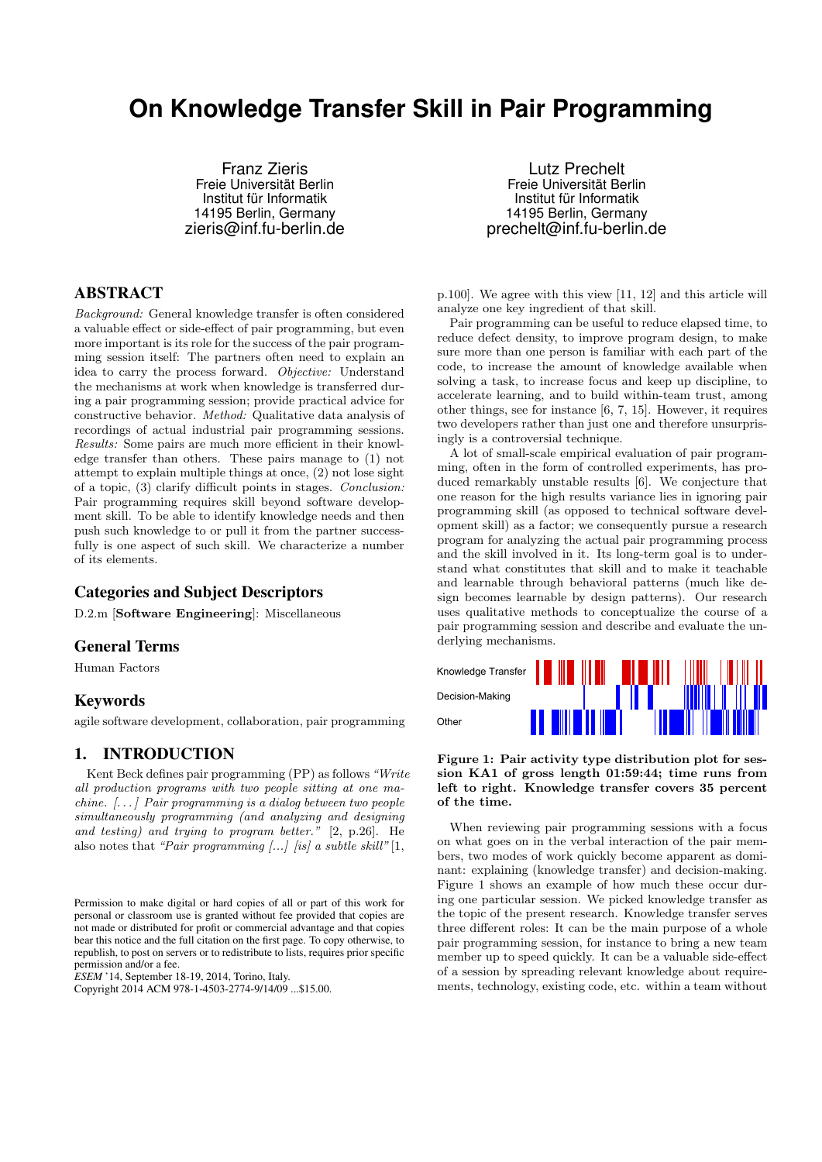# **On Knowledge Transfer Skill in Pair Programming**

Franz Zieris Freie Universität Berlin Institut für Informatik 14195 Berlin, Germany zieris@inf.fu-berlin.de

Lutz Prechelt Freie Universität Berlin Institut für Informatik 14195 Berlin, Germany prechelt@inf.fu-berlin.de

# ABSTRACT

Background: General knowledge transfer is often considered a valuable effect or side-effect of pair programming, but even more important is its role for the success of the pair programming session itself: The partners often need to explain an idea to carry the process forward. Objective: Understand the mechanisms at work when knowledge is transferred during a pair programming session; provide practical advice for constructive behavior. Method: Qualitative data analysis of recordings of actual industrial pair programming sessions. Results: Some pairs are much more efficient in their knowledge transfer than others. These pairs manage to (1) not attempt to explain multiple things at once, (2) not lose sight of a topic, (3) clarify difficult points in stages. Conclusion: Pair programming requires skill beyond software development skill. To be able to identify knowledge needs and then push such knowledge to or pull it from the partner successfully is one aspect of such skill. We characterize a number of its elements.

### Categories and Subject Descriptors

D.2.m [Software Engineering]: Miscellaneous

# General Terms

Human Factors

### Keywords

agile software development, collaboration, pair programming

# 1. INTRODUCTION

Kent Beck defines pair programming (PP) as follows "Write all production programs with two people sitting at one ma- $\{c, c\}$ ... ] Pair programming is a dialog between two people simultaneously programming (and analyzing and designing and testing) and trying to program better." [\[2,](#page-9-0) p.26]. He also notes that "Pair programming  $\left[\ldots\right]$  [is] a subtle skill"  $\left[1, \right]$  $\left[1, \right]$  $\left[1, \right]$ 

Permission to make digital or hard copies of all or part of this work for personal or classroom use is granted without fee provided that copies are not made or distributed for profit or commercial advantage and that copies bear this notice and the full citation on the first page. To copy otherwise, to republish, to post on servers or to redistribute to lists, requires prior specific permission and/or a fee.

*ESEM* '14, September 18-19, 2014, Torino, Italy.

Copyright 2014 ACM 978-1-4503-2774-9/14/09 ...\$15.00.

p.100]. We agree with this view [\[11,](#page-9-2) [12\]](#page-9-3) and this article will analyze one key ingredient of that skill.

Pair programming can be useful to reduce elapsed time, to reduce defect density, to improve program design, to make sure more than one person is familiar with each part of the code, to increase the amount of knowledge available when solving a task, to increase focus and keep up discipline, to accelerate learning, and to build within-team trust, among other things, see for instance [\[6,](#page-9-4) [7,](#page-9-5) [15\]](#page-9-6). However, it requires two developers rather than just one and therefore unsurprisingly is a controversial technique.

A lot of small-scale empirical evaluation of pair programming, often in the form of controlled experiments, has produced remarkably unstable results [\[6\]](#page-9-4). We conjecture that one reason for the high results variance lies in ignoring pair programming skill (as opposed to technical software development skill) as a factor; we consequently pursue a research program for analyzing the actual pair programming process and the skill involved in it. Its long-term goal is to understand what constitutes that skill and to make it teachable and learnable through behavioral patterns (much like design becomes learnable by design patterns). Our research uses qualitative methods to conceptualize the course of a pair programming session and describe and evaluate the underlying mechanisms.

Knowledge Transfer Decision-Making **Other** 



#### <span id="page-0-0"></span>Figure 1: Pair activity type distribution plot for session KA1 of gross length 01:59:44; time runs from left to right. Knowledge transfer covers 35 percent of the time.

When reviewing pair programming sessions with a focus on what goes on in the verbal interaction of the pair members, two modes of work quickly become apparent as dominant: explaining (knowledge transfer) and decision-making. Figure [1](#page-0-0) shows an example of how much these occur during one particular session. We picked knowledge transfer as the topic of the present research. Knowledge transfer serves three different roles: It can be the main purpose of a whole pair programming session, for instance to bring a new team member up to speed quickly. It can be a valuable side-effect of a session by spreading relevant knowledge about requirements, technology, existing code, etc. within a team without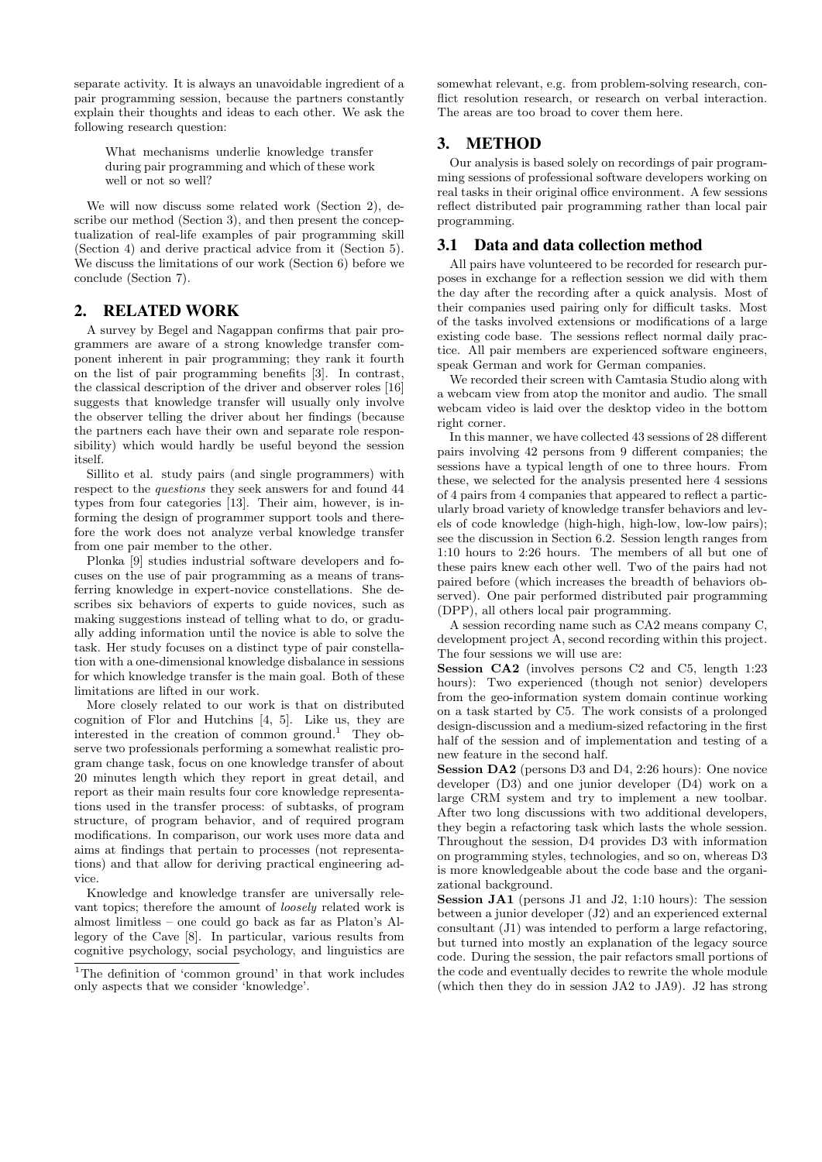separate activity. It is always an unavoidable ingredient of a pair programming session, because the partners constantly explain their thoughts and ideas to each other. We ask the following research question:

What mechanisms underlie knowledge transfer during pair programming and which of these work well or not so well?

We will now discuss some related work (Section [2\)](#page-1-0), describe our method (Section [3\)](#page-1-1), and then present the conceptualization of real-life examples of pair programming skill (Section [4\)](#page-2-0) and derive practical advice from it (Section [5\)](#page-8-0). We discuss the limitations of our work (Section [6\)](#page-8-1) before we conclude (Section [7\)](#page-9-7).

# <span id="page-1-0"></span>2. RELATED WORK

A survey by Begel and Nagappan confirms that pair programmers are aware of a strong knowledge transfer component inherent in pair programming; they rank it fourth on the list of pair programming benefits [\[3\]](#page-9-8). In contrast, the classical description of the driver and observer roles [\[16\]](#page-9-9) suggests that knowledge transfer will usually only involve the observer telling the driver about her findings (because the partners each have their own and separate role responsibility) which would hardly be useful beyond the session itself.

Sillito et al. study pairs (and single programmers) with respect to the questions they seek answers for and found 44 types from four categories [\[13\]](#page-9-10). Their aim, however, is informing the design of programmer support tools and therefore the work does not analyze verbal knowledge transfer from one pair member to the other.

Plonka [\[9\]](#page-9-11) studies industrial software developers and focuses on the use of pair programming as a means of transferring knowledge in expert-novice constellations. She describes six behaviors of experts to guide novices, such as making suggestions instead of telling what to do, or gradually adding information until the novice is able to solve the task. Her study focuses on a distinct type of pair constellation with a one-dimensional knowledge disbalance in sessions for which knowledge transfer is the main goal. Both of these limitations are lifted in our work.

More closely related to our work is that on distributed cognition of Flor and Hutchins [\[4,](#page-9-12) [5\]](#page-9-13). Like us, they are interested in the creation of common ground.<sup>[1](#page-1-2)</sup> They observe two professionals performing a somewhat realistic program change task, focus on one knowledge transfer of about 20 minutes length which they report in great detail, and report as their main results four core knowledge representations used in the transfer process: of subtasks, of program structure, of program behavior, and of required program modifications. In comparison, our work uses more data and aims at findings that pertain to processes (not representations) and that allow for deriving practical engineering advice.

Knowledge and knowledge transfer are universally relevant topics; therefore the amount of loosely related work is almost limitless – one could go back as far as Platon's Allegory of the Cave [\[8\]](#page-9-14). In particular, various results from cognitive psychology, social psychology, and linguistics are somewhat relevant, e.g. from problem-solving research, conflict resolution research, or research on verbal interaction. The areas are too broad to cover them here.

# <span id="page-1-1"></span>3. METHOD

Our analysis is based solely on recordings of pair programming sessions of professional software developers working on real tasks in their original office environment. A few sessions reflect distributed pair programming rather than local pair programming.

### 3.1 Data and data collection method

All pairs have volunteered to be recorded for research purposes in exchange for a reflection session we did with them the day after the recording after a quick analysis. Most of their companies used pairing only for difficult tasks. Most of the tasks involved extensions or modifications of a large existing code base. The sessions reflect normal daily practice. All pair members are experienced software engineers, speak German and work for German companies.

We recorded their screen with Camtasia Studio along with a webcam view from atop the monitor and audio. The small webcam video is laid over the desktop video in the bottom right corner.

In this manner, we have collected 43 sessions of 28 different pairs involving 42 persons from 9 different companies; the sessions have a typical length of one to three hours. From these, we selected for the analysis presented here 4 sessions of 4 pairs from 4 companies that appeared to reflect a particularly broad variety of knowledge transfer behaviors and levels of code knowledge (high-high, high-low, low-low pairs); see the discussion in Section [6.2.](#page-8-2) Session length ranges from 1:10 hours to 2:26 hours. The members of all but one of these pairs knew each other well. Two of the pairs had not paired before (which increases the breadth of behaviors observed). One pair performed distributed pair programming (DPP), all others local pair programming.

A session recording name such as CA2 means company C, development project A, second recording within this project. The four sessions we will use are:

Session CA2 (involves persons C2 and C5, length 1:23 hours): Two experienced (though not senior) developers from the geo-information system domain continue working on a task started by C5. The work consists of a prolonged design-discussion and a medium-sized refactoring in the first half of the session and of implementation and testing of a new feature in the second half.

Session DA2 (persons D3 and D4, 2:26 hours): One novice developer (D3) and one junior developer (D4) work on a large CRM system and try to implement a new toolbar. After two long discussions with two additional developers, they begin a refactoring task which lasts the whole session. Throughout the session, D4 provides D3 with information on programming styles, technologies, and so on, whereas D3 is more knowledgeable about the code base and the organizational background.

Session JA1 (persons J1 and J2, 1:10 hours): The session between a junior developer (J2) and an experienced external consultant (J1) was intended to perform a large refactoring, but turned into mostly an explanation of the legacy source code. During the session, the pair refactors small portions of the code and eventually decides to rewrite the whole module (which then they do in session JA2 to JA9). J2 has strong

<span id="page-1-2"></span><sup>&</sup>lt;sup>1</sup>The definition of 'common ground' in that work includes only aspects that we consider 'knowledge'.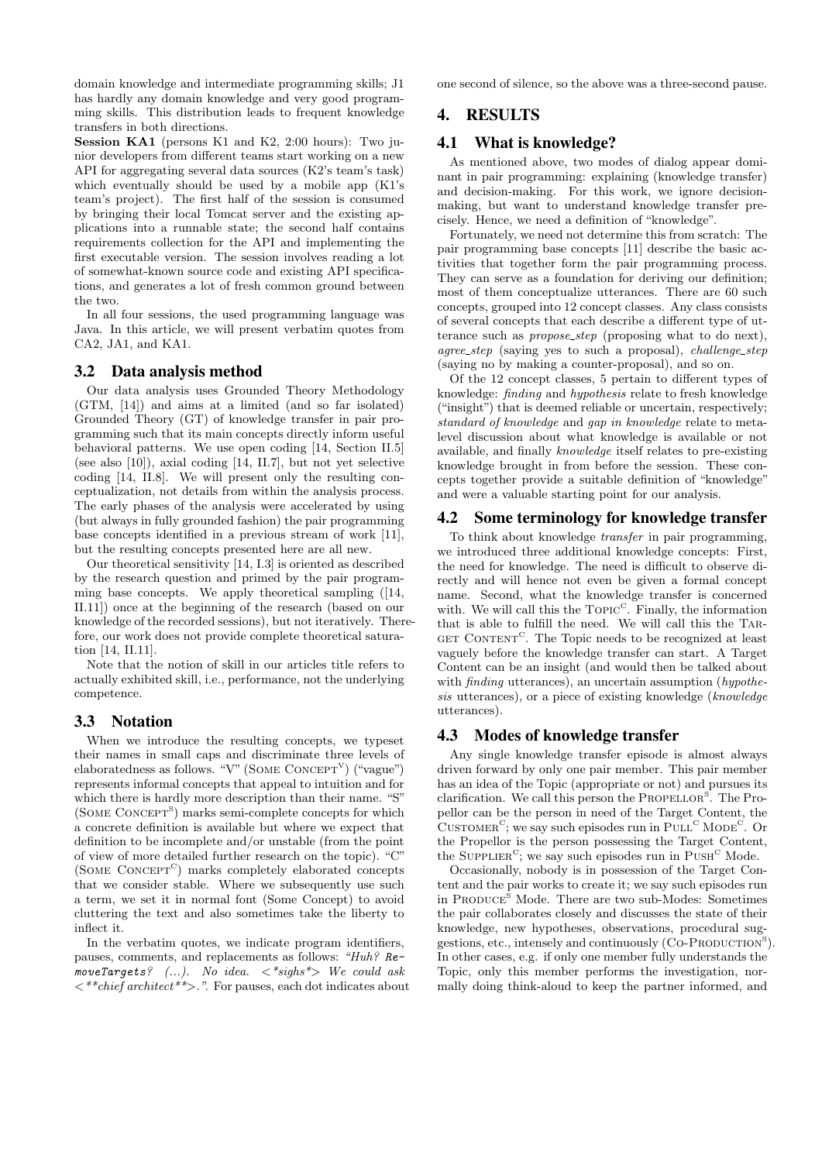domain knowledge and intermediate programming skills; J1 has hardly any domain knowledge and very good programming skills. This distribution leads to frequent knowledge transfers in both directions.

Session KA1 (persons K1 and K2, 2:00 hours): Two junior developers from different teams start working on a new API for aggregating several data sources (K2's team's task) which eventually should be used by a mobile app (K1's team's project). The first half of the session is consumed by bringing their local Tomcat server and the existing applications into a runnable state; the second half contains requirements collection for the API and implementing the first executable version. The session involves reading a lot of somewhat-known source code and existing API specifications, and generates a lot of fresh common ground between the two.

In all four sessions, the used programming language was Java. In this article, we will present verbatim quotes from CA2, JA1, and KA1.

# 3.2 Data analysis method

Our data analysis uses Grounded Theory Methodology (GTM, [\[14\]](#page-9-15)) and aims at a limited (and so far isolated) Grounded Theory (GT) of knowledge transfer in pair programming such that its main concepts directly inform useful behavioral patterns. We use open coding [\[14,](#page-9-15) Section II.5] (see also [\[10\]](#page-9-16)), axial coding [\[14,](#page-9-15) II.7], but not yet selective coding [\[14,](#page-9-15) II.8]. We will present only the resulting conceptualization, not details from within the analysis process. The early phases of the analysis were accelerated by using (but always in fully grounded fashion) the pair programming base concepts identified in a previous stream of work [\[11\]](#page-9-2), but the resulting concepts presented here are all new.

Our theoretical sensitivity [\[14,](#page-9-15) I.3] is oriented as described by the research question and primed by the pair programming base concepts. We apply theoretical sampling ([\[14,](#page-9-15) II.11]) once at the beginning of the research (based on our knowledge of the recorded sessions), but not iteratively. Therefore, our work does not provide complete theoretical saturation [\[14,](#page-9-15) II.11].

Note that the notion of skill in our articles title refers to actually exhibited skill, i.e., performance, not the underlying competence.

# 3.3 Notation

When we introduce the resulting concepts, we typeset their names in small caps and discriminate three levels of elaboratedness as follows. "V" (SOME CONCEPT<sup>V</sup>) ("vague") represents informal concepts that appeal to intuition and for which there is hardly more description than their name. "S" (Some Concept<sup>S</sup> ) marks semi-complete concepts for which a concrete definition is available but where we expect that definition to be incomplete and/or unstable (from the point of view of more detailed further research on the topic). "C" (SOME CONCEPT<sup>C</sup>) marks completely elaborated concepts that we consider stable. Where we subsequently use such a term, we set it in normal font (Some Concept) to avoid cluttering the text and also sometimes take the liberty to inflect it.

In the verbatim quotes, we indicate program identifiers, pauses, comments, and replacements as follows: "Huh? RemoveTargets? (...). No idea.  $\langle *sighs* \rangle$  We could ask  $\langle$ \*\*chief architect\*\*>.". For pauses, each dot indicates about one second of silence, so the above was a three-second pause.

# <span id="page-2-0"></span>4. RESULTS

# 4.1 What is knowledge?

As mentioned above, two modes of dialog appear dominant in pair programming: explaining (knowledge transfer) and decision-making. For this work, we ignore decisionmaking, but want to understand knowledge transfer precisely. Hence, we need a definition of "knowledge".

Fortunately, we need not determine this from scratch: The pair programming base concepts [\[11\]](#page-9-2) describe the basic activities that together form the pair programming process. They can serve as a foundation for deriving our definition; most of them conceptualize utterances. There are 60 such concepts, grouped into 12 concept classes. Any class consists of several concepts that each describe a different type of utterance such as *propose\_step* (proposing what to do next),  $agree\_step$  (saying yes to such a proposal), *challenge\_step* (saying no by making a counter-proposal), and so on.

Of the 12 concept classes, 5 pertain to different types of knowledge: finding and hypothesis relate to fresh knowledge ("insight") that is deemed reliable or uncertain, respectively; standard of knowledge and gap in knowledge relate to metalevel discussion about what knowledge is available or not available, and finally knowledge itself relates to pre-existing knowledge brought in from before the session. These concepts together provide a suitable definition of "knowledge" and were a valuable starting point for our analysis.

# 4.2 Some terminology for knowledge transfer

To think about knowledge transfer in pair programming, we introduced three additional knowledge concepts: First, the need for knowledge. The need is difficult to observe directly and will hence not even be given a formal concept name. Second, what the knowledge transfer is concerned with. We will call this the TOPIC<sup>C</sup>. Finally, the information that is able to fulfill the need. We will call this the Tar-GET CONTENT<sup>C</sup>. The Topic needs to be recognized at least vaguely before the knowledge transfer can start. A Target Content can be an insight (and would then be talked about with *finding* utterances), an uncertain assumption (*hypothe*sis utterances), or a piece of existing knowledge (knowledge utterances).

# 4.3 Modes of knowledge transfer

Any single knowledge transfer episode is almost always driven forward by only one pair member. This pair member has an idea of the Topic (appropriate or not) and pursues its clarification. We call this person the PROPELLOR<sup>S</sup>. The Propellor can be the person in need of the Target Content, the CUSTOMER<sup>C</sup>; we say such episodes run in PULL<sup>C</sup> MODE<sup>C</sup>. Or the Propellor is the person possessing the Target Content, the SUPPLIER<sup>C</sup>; we say such episodes run in PUSH<sup>C</sup> Mode.

Occasionally, nobody is in possession of the Target Content and the pair works to create it; we say such episodes run in  $\ensuremath{\mathsf{PRODUCE}}\xspace^{\mathsf{S}}$  Mode. There are two sub-Modes: Sometimes the pair collaborates closely and discusses the state of their knowledge, new hypotheses, observations, procedural suggestions, etc., intensely and continuously (Co-PRODUCTION<sup>S</sup>). In other cases, e.g. if only one member fully understands the Topic, only this member performs the investigation, normally doing think-aloud to keep the partner informed, and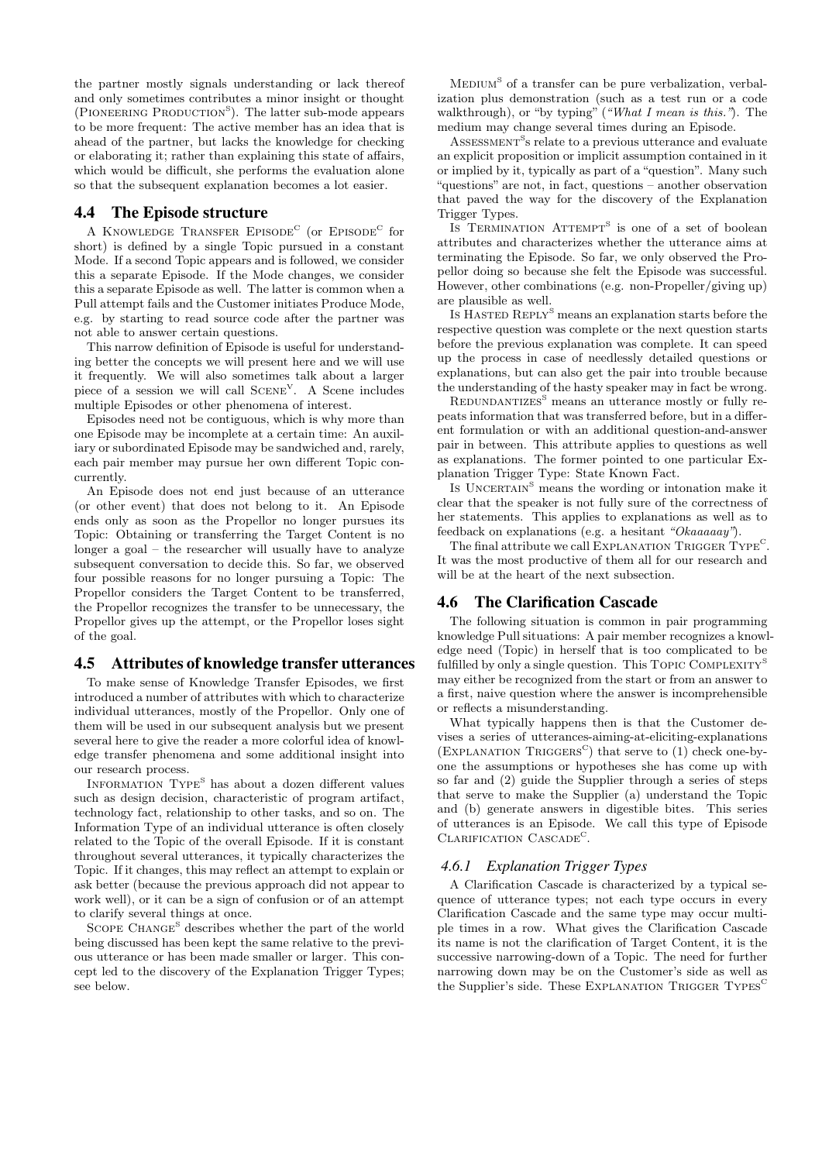the partner mostly signals understanding or lack thereof and only sometimes contributes a minor insight or thought (PIONEERING PRODUCTION<sup>S</sup>). The latter sub-mode appears to be more frequent: The active member has an idea that is ahead of the partner, but lacks the knowledge for checking or elaborating it; rather than explaining this state of affairs, which would be difficult, she performs the evaluation alone so that the subsequent explanation becomes a lot easier.

#### 4.4 The Episode structure

A KNOWLEDGE TRANSFER EPISODE<sup>C</sup> (or EPISODE<sup>C</sup> for short) is defined by a single Topic pursued in a constant Mode. If a second Topic appears and is followed, we consider this a separate Episode. If the Mode changes, we consider this a separate Episode as well. The latter is common when a Pull attempt fails and the Customer initiates Produce Mode, e.g. by starting to read source code after the partner was not able to answer certain questions.

This narrow definition of Episode is useful for understanding better the concepts we will present here and we will use it frequently. We will also sometimes talk about a larger piece of a session we will call SCENE<sup>V</sup>. A Scene includes multiple Episodes or other phenomena of interest.

Episodes need not be contiguous, which is why more than one Episode may be incomplete at a certain time: An auxiliary or subordinated Episode may be sandwiched and, rarely, each pair member may pursue her own different Topic concurrently.

An Episode does not end just because of an utterance (or other event) that does not belong to it. An Episode ends only as soon as the Propellor no longer pursues its Topic: Obtaining or transferring the Target Content is no longer a goal – the researcher will usually have to analyze subsequent conversation to decide this. So far, we observed four possible reasons for no longer pursuing a Topic: The Propellor considers the Target Content to be transferred, the Propellor recognizes the transfer to be unnecessary, the Propellor gives up the attempt, or the Propellor loses sight of the goal.

#### 4.5 Attributes of knowledge transfer utterances

To make sense of Knowledge Transfer Episodes, we first introduced a number of attributes with which to characterize individual utterances, mostly of the Propellor. Only one of them will be used in our subsequent analysis but we present several here to give the reader a more colorful idea of knowledge transfer phenomena and some additional insight into our research process.

INFORMATION TYPE<sup>S</sup> has about a dozen different values such as design decision, characteristic of program artifact, technology fact, relationship to other tasks, and so on. The Information Type of an individual utterance is often closely related to the Topic of the overall Episode. If it is constant throughout several utterances, it typically characterizes the Topic. If it changes, this may reflect an attempt to explain or ask better (because the previous approach did not appear to work well), or it can be a sign of confusion or of an attempt to clarify several things at once.

SCOPE CHANGE<sup>S</sup> describes whether the part of the world being discussed has been kept the same relative to the previous utterance or has been made smaller or larger. This concept led to the discovery of the Explanation Trigger Types; see below.

MEDIUM<sup>S</sup> of a transfer can be pure verbalization, verbalization plus demonstration (such as a test run or a code walkthrough), or "by typing" ("What I mean is this."). The medium may change several times during an Episode.

ASSESSMENT<sup>S</sup>s relate to a previous utterance and evaluate an explicit proposition or implicit assumption contained in it or implied by it, typically as part of a "question". Many such "questions" are not, in fact, questions – another observation that paved the way for the discovery of the Explanation Trigger Types.

IS TERMINATION ATTEMPT<sup>S</sup> is one of a set of boolean attributes and characterizes whether the utterance aims at terminating the Episode. So far, we only observed the Propellor doing so because she felt the Episode was successful. However, other combinations (e.g. non-Propeller/giving up) are plausible as well.

Is Hasted Reply<sup>S</sup> means an explanation starts before the respective question was complete or the next question starts before the previous explanation was complete. It can speed up the process in case of needlessly detailed questions or explanations, but can also get the pair into trouble because the understanding of the hasty speaker may in fact be wrong.

REDUNDANTIZES<sup>S</sup> means an utterance mostly or fully repeats information that was transferred before, but in a different formulation or with an additional question-and-answer pair in between. This attribute applies to questions as well as explanations. The former pointed to one particular Explanation Trigger Type: State Known Fact.

Is UNCERTAIN<sup>S</sup> means the wording or intonation make it clear that the speaker is not fully sure of the correctness of her statements. This applies to explanations as well as to feedback on explanations (e.g. a hesitant "Okaaaaay").

The final attribute we call EXPLANATION TRIGGER TYPE<sup>C</sup>. It was the most productive of them all for our research and will be at the heart of the next subsection.

#### <span id="page-3-0"></span>4.6 The Clarification Cascade

The following situation is common in pair programming knowledge Pull situations: A pair member recognizes a knowledge need (Topic) in herself that is too complicated to be fulfilled by only a single question. This TOPIC COMPLEXITY may either be recognized from the start or from an answer to a first, naive question where the answer is incomprehensible or reflects a misunderstanding.

What typically happens then is that the Customer devises a series of utterances-aiming-at-eliciting-explanations (EXPLANATION TRIGGERS<sup>C</sup>) that serve to (1) check one-byone the assumptions or hypotheses she has come up with so far and (2) guide the Supplier through a series of steps that serve to make the Supplier (a) understand the Topic and (b) generate answers in digestible bites. This series of utterances is an Episode. We call this type of Episode CLARIFICATION CASCADE<sup>C</sup>.

#### *4.6.1 Explanation Trigger Types*

A Clarification Cascade is characterized by a typical sequence of utterance types; not each type occurs in every Clarification Cascade and the same type may occur multiple times in a row. What gives the Clarification Cascade its name is not the clarification of Target Content, it is the successive narrowing-down of a Topic. The need for further narrowing down may be on the Customer's side as well as the Supplier's side. These EXPLANATION TRIGGER TYPES<sup>C</sup>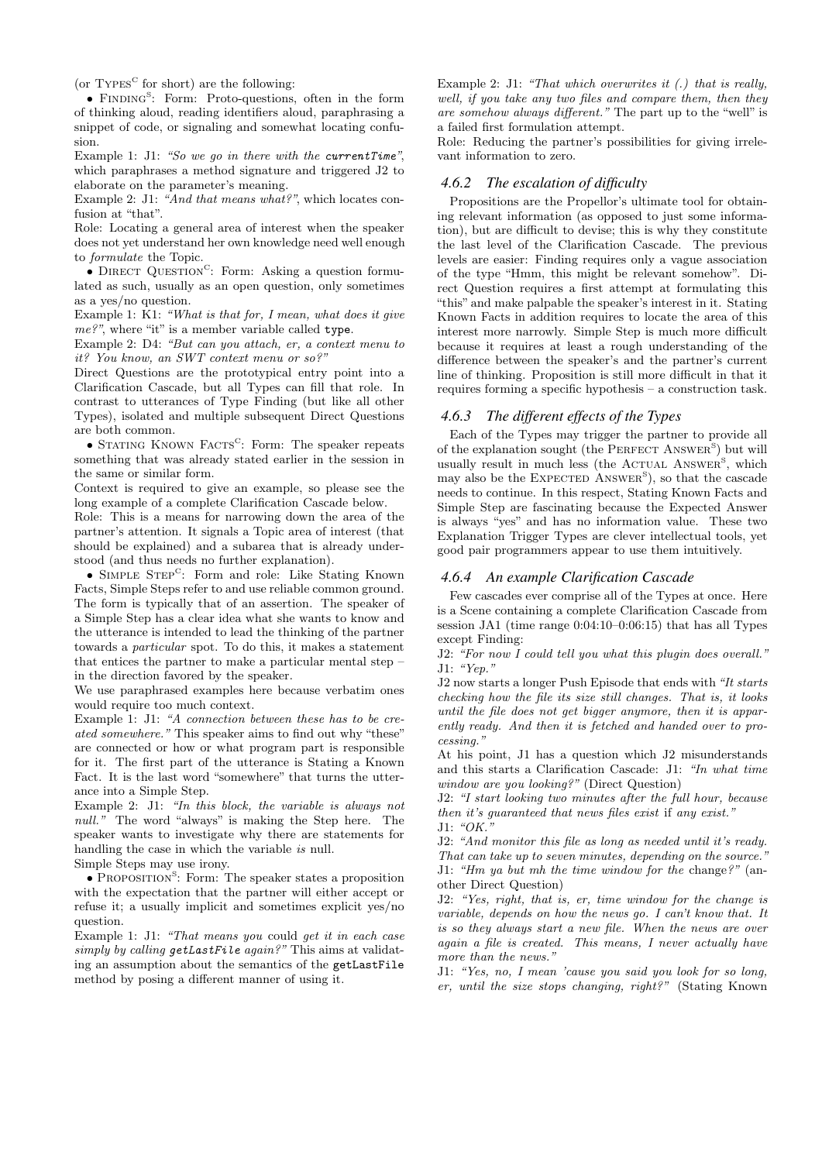(or  $TYPES<sup>C</sup>$  for short) are the following:

• FINDING<sup>S</sup>: Form: Proto-questions, often in the form of thinking aloud, reading identifiers aloud, paraphrasing a snippet of code, or signaling and somewhat locating confusion.

Example 1: J1: "So we go in there with the currentTime", which paraphrases a method signature and triggered J2 to elaborate on the parameter's meaning.

Example 2: J1: "And that means what?", which locates confusion at "that".

Role: Locating a general area of interest when the speaker does not yet understand her own knowledge need well enough to formulate the Topic.

 $\bullet$  DIRECT QUESTION<sup>C</sup>: Form: Asking a question formulated as such, usually as an open question, only sometimes as a yes/no question.

Example 1: K1: "What is that for, I mean, what does it give me?", where "it" is a member variable called type.

Example 2: D4: "But can you attach, er, a context menu to it? You know, an SWT context menu or so?"

Direct Questions are the prototypical entry point into a Clarification Cascade, but all Types can fill that role. In contrast to utterances of Type Finding (but like all other Types), isolated and multiple subsequent Direct Questions are both common.

• STATING KNOWN FACTS<sup>C</sup>: Form: The speaker repeats something that was already stated earlier in the session in the same or similar form.

Context is required to give an example, so please see the long example of a complete Clarification Cascade below.

Role: This is a means for narrowing down the area of the partner's attention. It signals a Topic area of interest (that should be explained) and a subarea that is already understood (and thus needs no further explanation).

• Simple Step<sup>C</sup> : Form and role: Like Stating Known Facts, Simple Steps refer to and use reliable common ground. The form is typically that of an assertion. The speaker of a Simple Step has a clear idea what she wants to know and the utterance is intended to lead the thinking of the partner towards a particular spot. To do this, it makes a statement that entices the partner to make a particular mental step – in the direction favored by the speaker.

We use paraphrased examples here because verbatim ones would require too much context.

Example 1: J1: "A connection between these has to be created somewhere." This speaker aims to find out why "these" are connected or how or what program part is responsible for it. The first part of the utterance is Stating a Known Fact. It is the last word "somewhere" that turns the utterance into a Simple Step.

Example 2: J1: "In this block, the variable is always not null." The word "always" is making the Step here. The speaker wants to investigate why there are statements for handling the case in which the variable is null.

Simple Steps may use irony.

• PROPOSITION<sup>S</sup>: Form: The speaker states a proposition with the expectation that the partner will either accept or refuse it; a usually implicit and sometimes explicit yes/no question.

Example 1: J1: "That means you could get it in each case simply by calling  $getLastFile$  again?" This aims at validating an assumption about the semantics of the getLastFile method by posing a different manner of using it.

Example 2: J1: "That which overwrites it (.) that is really, well, if you take any two files and compare them, then they are somehow always different." The part up to the "well" is a failed first formulation attempt.

Role: Reducing the partner's possibilities for giving irrelevant information to zero.

#### *4.6.2 The escalation of difficulty*

Propositions are the Propellor's ultimate tool for obtaining relevant information (as opposed to just some information), but are difficult to devise; this is why they constitute the last level of the Clarification Cascade. The previous levels are easier: Finding requires only a vague association of the type "Hmm, this might be relevant somehow". Direct Question requires a first attempt at formulating this "this" and make palpable the speaker's interest in it. Stating Known Facts in addition requires to locate the area of this interest more narrowly. Simple Step is much more difficult because it requires at least a rough understanding of the difference between the speaker's and the partner's current line of thinking. Proposition is still more difficult in that it requires forming a specific hypothesis – a construction task.

#### *4.6.3 The different effects of the Types*

Each of the Types may trigger the partner to provide all of the explanation sought (the PERFECT ANSWER<sup>S</sup>) but will usually result in much less (the ACTUAL ANSWER<sup>S</sup>, which may also be the EXPECTED ANSWER<sup>S</sup>), so that the cascade needs to continue. In this respect, Stating Known Facts and Simple Step are fascinating because the Expected Answer is always "yes" and has no information value. These two Explanation Trigger Types are clever intellectual tools, yet good pair programmers appear to use them intuitively.

#### *4.6.4 An example Clarification Cascade*

Few cascades ever comprise all of the Types at once. Here is a Scene containing a complete Clarification Cascade from session JA1 (time range 0:04:10–0:06:15) that has all Types except Finding:

J2: "For now I could tell you what this plugin does overall." J1: "Yep."

J2 now starts a longer Push Episode that ends with "It starts" checking how the file its size still changes. That is, it looks until the file does not get bigger anymore, then it is apparently ready. And then it is fetched and handed over to processing."

At his point, J1 has a question which J2 misunderstands and this starts a Clarification Cascade: J1: "In what time window are you looking?" (Direct Question)

J2: "I start looking two minutes after the full hour, because then it's guaranteed that news files exist if any exist." J1: "OK."

J2: "And monitor this file as long as needed until it's ready. That can take up to seven minutes, depending on the source." J1: "Hm ya but mh the time window for the change?" (another Direct Question)

J2: "Yes, right, that is, er, time window for the change is variable, depends on how the news go. I can't know that. It is so they always start a new file. When the news are over again a file is created. This means, I never actually have more than the news."

J1: "Yes, no, I mean 'cause you said you look for so long, er, until the size stops changing, right?" (Stating Known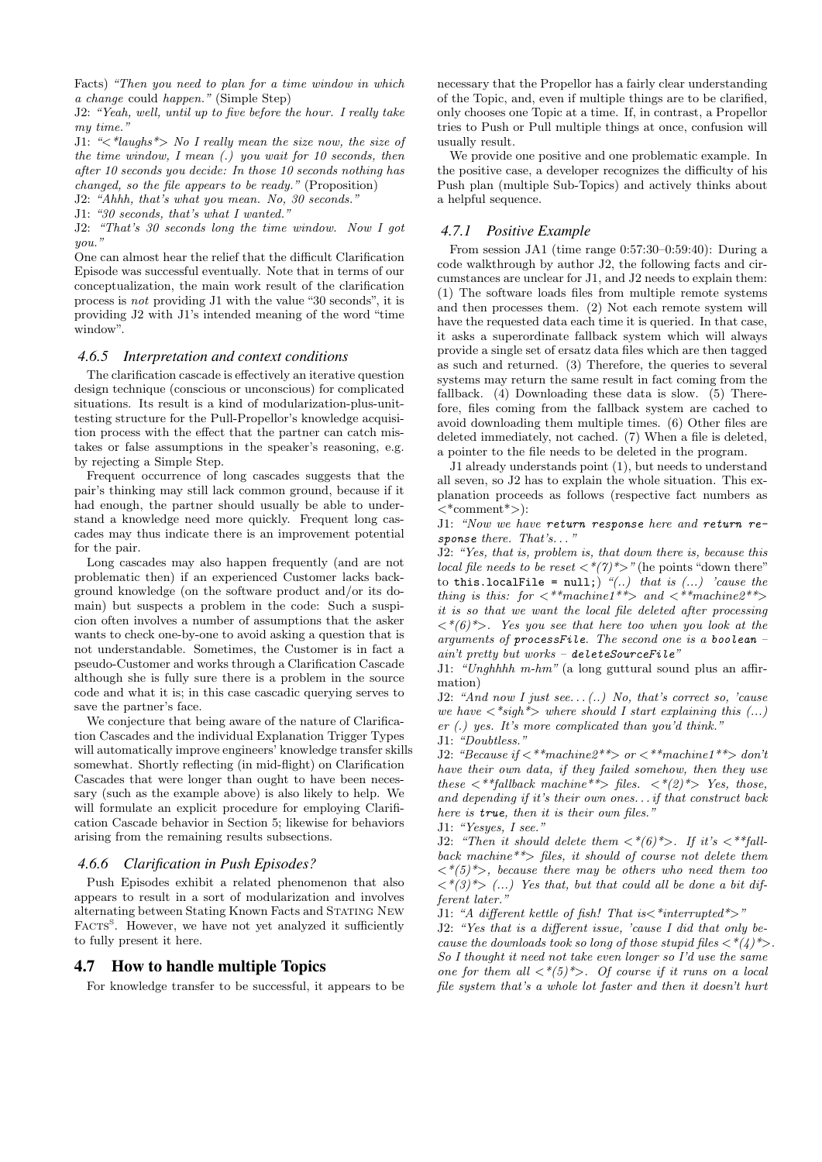Facts) "Then you need to plan for a time window in which a change could happen." (Simple Step)

J2: "Yeah, well, until up to five before the hour. I really take my time."

J1: " $\lt$  \*laughs\*> No I really mean the size now, the size of the time window, I mean (.) you wait for 10 seconds, then after 10 seconds you decide: In those 10 seconds nothing has changed, so the file appears to be ready." (Proposition)

J2: "Ahhh, that's what you mean. No, 30 seconds."

J1: "30 seconds, that's what I wanted."

J2: "That's 30 seconds long the time window. Now I got you."

One can almost hear the relief that the difficult Clarification Episode was successful eventually. Note that in terms of our conceptualization, the main work result of the clarification process is not providing J1 with the value "30 seconds", it is providing J2 with J1's intended meaning of the word "time window".

#### *4.6.5 Interpretation and context conditions*

The clarification cascade is effectively an iterative question design technique (conscious or unconscious) for complicated situations. Its result is a kind of modularization-plus-unittesting structure for the Pull-Propellor's knowledge acquisition process with the effect that the partner can catch mistakes or false assumptions in the speaker's reasoning, e.g. by rejecting a Simple Step.

Frequent occurrence of long cascades suggests that the pair's thinking may still lack common ground, because if it had enough, the partner should usually be able to understand a knowledge need more quickly. Frequent long cascades may thus indicate there is an improvement potential for the pair.

Long cascades may also happen frequently (and are not problematic then) if an experienced Customer lacks background knowledge (on the software product and/or its domain) but suspects a problem in the code: Such a suspicion often involves a number of assumptions that the asker wants to check one-by-one to avoid asking a question that is not understandable. Sometimes, the Customer is in fact a pseudo-Customer and works through a Clarification Cascade although she is fully sure there is a problem in the source code and what it is; in this case cascadic querying serves to save the partner's face.

We conjecture that being aware of the nature of Clarification Cascades and the individual Explanation Trigger Types will automatically improve engineers' knowledge transfer skills somewhat. Shortly reflecting (in mid-flight) on Clarification Cascades that were longer than ought to have been necessary (such as the example above) is also likely to help. We will formulate an explicit procedure for employing Clarification Cascade behavior in Section [5;](#page-8-0) likewise for behaviors arising from the remaining results subsections.

#### *4.6.6 Clarification in Push Episodes?*

Push Episodes exhibit a related phenomenon that also appears to result in a sort of modularization and involves alternating between Stating Known Facts and Stating New FACTS<sup>S</sup>. However, we have not yet analyzed it sufficiently to fully present it here.

#### <span id="page-5-0"></span>4.7 How to handle multiple Topics

For knowledge transfer to be successful, it appears to be

necessary that the Propellor has a fairly clear understanding of the Topic, and, even if multiple things are to be clarified, only chooses one Topic at a time. If, in contrast, a Propellor tries to Push or Pull multiple things at once, confusion will usually result.

We provide one positive and one problematic example. In the positive case, a developer recognizes the difficulty of his Push plan (multiple Sub-Topics) and actively thinks about a helpful sequence.

#### *4.7.1 Positive Example*

From session JA1 (time range 0:57:30–0:59:40): During a code walkthrough by author J2, the following facts and circumstances are unclear for J1, and J2 needs to explain them: (1) The software loads files from multiple remote systems and then processes them. (2) Not each remote system will have the requested data each time it is queried. In that case, it asks a superordinate fallback system which will always provide a single set of ersatz data files which are then tagged as such and returned. (3) Therefore, the queries to several systems may return the same result in fact coming from the fallback. (4) Downloading these data is slow. (5) Therefore, files coming from the fallback system are cached to avoid downloading them multiple times. (6) Other files are deleted immediately, not cached. (7) When a file is deleted, a pointer to the file needs to be deleted in the program.

J1 already understands point (1), but needs to understand all seven, so J2 has to explain the whole situation. This explanation proceeds as follows (respective fact numbers as <\*comment\*>):

J1: "Now we have return response here and return response there. That's..."

J2: "Yes, that is, problem is, that down there is, because this local file needs to be reset  $\langle\frac{*}{2}\rangle$  /\*>" (he points "down there" to this.localFile =  $null$ ;) "(..) that is (...) 'cause the thing is this: for  $\langle$ \*\*machine1\*\*> and  $\langle$ \*\*machine2\*\*> it is so that we want the local file deleted after processing  $\langle \cdot | \cdot | \cdot \rangle$ . Yes you see that here too when you look at the arguments of  $processFile$ . The second one is a boolean  $$  $ain't$  pretty but works - deleteSourceFile"

J1: "Unghhhh m-hm" (a long guttural sound plus an affirmation)

J2: "And now I just see... $(.)$  No, that's correct so, 'cause we have  $\langle *sigh* \rangle$  where should I start explaining this  $(...)$ er (.) yes. It's more complicated than you'd think." J1: "Doubtless."

J2: "Because if  $\langle$ \*\*machine2\*\*> or  $\langle$ \*\*machine1\*\*> don't have their own data, if they failed somehow, then they use these  $\langle$ \*\*fallback machine<sup>\*\*</sup>> files.  $\langle$ \* $(2)$ \*> Yes, those, and depending if it's their own ones. . . if that construct back here is true, then it is their own files.'

J1: "Yesyes, I see."

J2: "Then it should delete them  $\langle *|6\rangle^*$ . If it's  $\langle *|4|1\rangle^*$ back machine\*\*> files, it should of course not delete them  $\langle\langle 5\rangle^* \rangle$ , because there may be others who need them too  $\langle \langle x^*(3) \rangle \rangle$  (...) Yes that, but that could all be done a bit different later.'

J1: "A different kettle of fish! That is  $\langle *interrupted * \rangle$ "

J2: "Yes that is a different issue, 'cause I did that only because the downloads took so long of those stupid files  $\langle\frac{*}{4}\rangle$ . So I thought it need not take even longer so I'd use the same one for them all  $\langle \cdot |^{*}(5) \rangle$ . Of course if it runs on a local file system that's a whole lot faster and then it doesn't hurt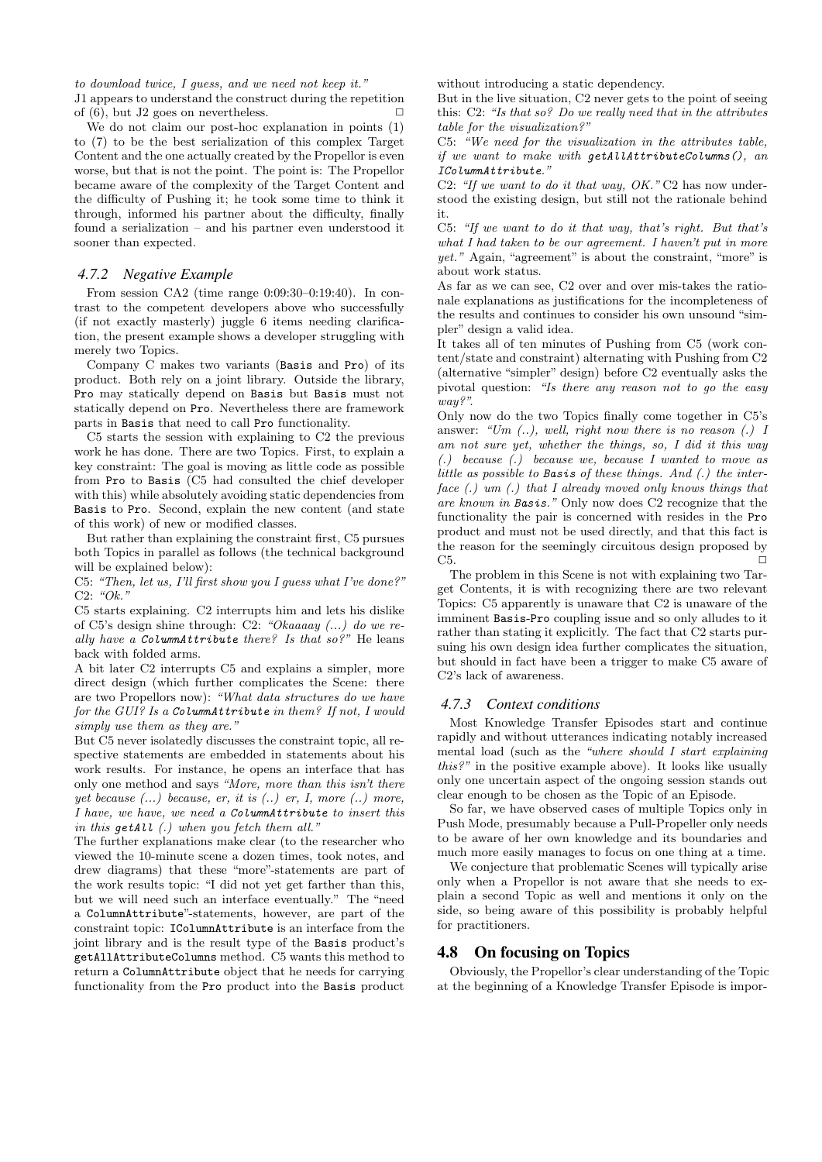to download twice, I guess, and we need not keep it."

J1 appears to understand the construct during the repetition of  $(6)$ , but J2 goes on nevertheless.

We do not claim our post-hoc explanation in points (1) to (7) to be the best serialization of this complex Target Content and the one actually created by the Propellor is even worse, but that is not the point. The point is: The Propellor became aware of the complexity of the Target Content and the difficulty of Pushing it; he took some time to think it through, informed his partner about the difficulty, finally found a serialization – and his partner even understood it sooner than expected.

#### *4.7.2 Negative Example*

From session CA2 (time range 0:09:30–0:19:40). In contrast to the competent developers above who successfully (if not exactly masterly) juggle 6 items needing clarification, the present example shows a developer struggling with merely two Topics.

Company C makes two variants (Basis and Pro) of its product. Both rely on a joint library. Outside the library, Pro may statically depend on Basis but Basis must not statically depend on Pro. Nevertheless there are framework parts in Basis that need to call Pro functionality.

C5 starts the session with explaining to C2 the previous work he has done. There are two Topics. First, to explain a key constraint: The goal is moving as little code as possible from Pro to Basis (C5 had consulted the chief developer with this) while absolutely avoiding static dependencies from Basis to Pro. Second, explain the new content (and state of this work) of new or modified classes.

But rather than explaining the constraint first, C5 pursues both Topics in parallel as follows (the technical background will be explained below):

C5: "Then, let us, I'll first show you I guess what I've done?" C2: " $Ok.$ "

C5 starts explaining. C2 interrupts him and lets his dislike of C5's design shine through: C2: "Okaaaay (...) do we really have a ColumnAttribute there? Is that so?" He leans back with folded arms.

A bit later C2 interrupts C5 and explains a simpler, more direct design (which further complicates the Scene: there are two Propellors now): "What data structures do we have for the GUI? Is a ColumnAttribute in them? If not, I would simply use them as they are."

But C5 never isolatedly discusses the constraint topic, all respective statements are embedded in statements about his work results. For instance, he opens an interface that has only one method and says "More, more than this isn't there yet because  $(...)$  because, er, it is  $(.)$  er, I, more  $(.)$  more, I have, we have, we need a ColumnAttribute to insert this in this getAll (.) when you fetch them all."

The further explanations make clear (to the researcher who viewed the 10-minute scene a dozen times, took notes, and drew diagrams) that these "more"-statements are part of the work results topic: "I did not yet get farther than this, but we will need such an interface eventually." The "need a ColumnAttribute"-statements, however, are part of the constraint topic: IColumnAttribute is an interface from the joint library and is the result type of the Basis product's getAllAttributeColumns method. C5 wants this method to return a ColumnAttribute object that he needs for carrying functionality from the Pro product into the Basis product

without introducing a static dependency.

But in the live situation, C2 never gets to the point of seeing this: C2: "Is that so? Do we really need that in the attributes table for the visualization?"

C5: "We need for the visualization in the attributes table, if we want to make with getAllAttributeColumns(), an IColumnAttribute."

C2: "If we want to do it that way,  $OK."$  C2 has now understood the existing design, but still not the rationale behind it.

C5: "If we want to do it that way, that's right. But that's what I had taken to be our agreement. I haven't put in more yet." Again, "agreement" is about the constraint, "more" is about work status.

As far as we can see, C2 over and over mis-takes the rationale explanations as justifications for the incompleteness of the results and continues to consider his own unsound "simpler" design a valid idea.

It takes all of ten minutes of Pushing from C5 (work content/state and constraint) alternating with Pushing from C2 (alternative "simpler" design) before C2 eventually asks the pivotal question: "Is there any reason not to go the easy way?".

Only now do the two Topics finally come together in C5's answer: "Um  $(.)$ , well, right now there is no reason  $(.)$  I am not sure yet, whether the things, so, I did it this way (.) because (.) because we, because I wanted to move as little as possible to Basis of these things. And (.) the interface (.) um (.) that I already moved only knows things that are known in Basis." Only now does C2 recognize that the functionality the pair is concerned with resides in the Pro product and must not be used directly, and that this fact is the reason for the seemingly circuitous design proposed by  $C5.$ 

The problem in this Scene is not with explaining two Target Contents, it is with recognizing there are two relevant Topics: C5 apparently is unaware that C2 is unaware of the imminent Basis-Pro coupling issue and so only alludes to it rather than stating it explicitly. The fact that C2 starts pursuing his own design idea further complicates the situation, but should in fact have been a trigger to make C5 aware of C2's lack of awareness.

#### *4.7.3 Context conditions*

Most Knowledge Transfer Episodes start and continue rapidly and without utterances indicating notably increased mental load (such as the "where should I start explaining this?" in the positive example above). It looks like usually only one uncertain aspect of the ongoing session stands out clear enough to be chosen as the Topic of an Episode.

So far, we have observed cases of multiple Topics only in Push Mode, presumably because a Pull-Propeller only needs to be aware of her own knowledge and its boundaries and much more easily manages to focus on one thing at a time.

We conjecture that problematic Scenes will typically arise only when a Propellor is not aware that she needs to explain a second Topic as well and mentions it only on the side, so being aware of this possibility is probably helpful for practitioners.

#### <span id="page-6-0"></span>4.8 On focusing on Topics

Obviously, the Propellor's clear understanding of the Topic at the beginning of a Knowledge Transfer Episode is impor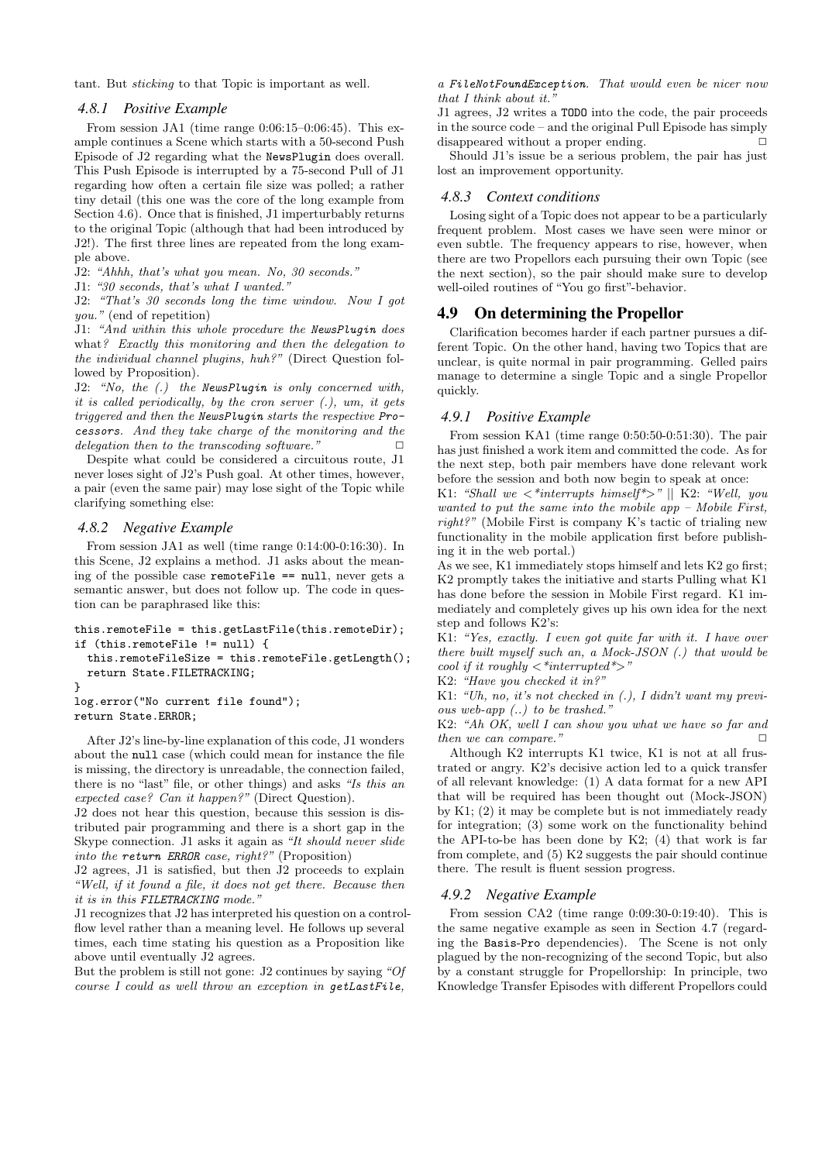tant. But sticking to that Topic is important as well.

#### *4.8.1 Positive Example*

From session JA1 (time range 0:06:15–0:06:45). This example continues a Scene which starts with a 50-second Push Episode of J2 regarding what the NewsPlugin does overall. This Push Episode is interrupted by a 75-second Pull of J1 regarding how often a certain file size was polled; a rather tiny detail (this one was the core of the long example from Section [4.6\)](#page-3-0). Once that is finished, J1 imperturbably returns to the original Topic (although that had been introduced by J2!). The first three lines are repeated from the long example above.

J2: "Ahhh, that's what you mean. No, 30 seconds."

J1: "30 seconds, that's what I wanted."

J2: "That's 30 seconds long the time window. Now I got you." (end of repetition)

J1: "And within this whole procedure the NewsPlugin does what? Exactly this monitoring and then the delegation to the individual channel plugins, huh?" (Direct Question followed by Proposition).

J2: "No, the (.) the NewsPlugin is only concerned with, it is called periodically, by the cron server (.), um, it gets triggered and then the NewsPlugin starts the respective Processors. And they take charge of the monitoring and the delegation then to the transcoding software." $\Box$ 

Despite what could be considered a circuitous route, J1 never loses sight of J2's Push goal. At other times, however, a pair (even the same pair) may lose sight of the Topic while clarifying something else:

#### *4.8.2 Negative Example*

From session JA1 as well (time range 0:14:00-0:16:30). In this Scene, J2 explains a method. J1 asks about the meaning of the possible case remoteFile == null, never gets a semantic answer, but does not follow up. The code in question can be paraphrased like this:

```
this.remoteFile = this.getLastFile(this.remoteDir);
if (this.remoteFile != null) {
  this.remoteFileSize = this.remoteFile.getLength();
 return State.FILETRACKING;
```
}

```
log.error("No current file found");
return State.ERROR;
```
After J2's line-by-line explanation of this code, J1 wonders about the null case (which could mean for instance the file is missing, the directory is unreadable, the connection failed, there is no "last" file, or other things) and asks "Is this an expected case? Can it happen?" (Direct Question).

J2 does not hear this question, because this session is distributed pair programming and there is a short gap in the Skype connection. J1 asks it again as "It should never slide into the return ERROR case, right?" (Proposition)

J2 agrees, J1 is satisfied, but then J2 proceeds to explain "Well, if it found a file, it does not get there. Because then it is in this FILETRACKING mode."

J1 recognizes that J2 has interpreted his question on a controlflow level rather than a meaning level. He follows up several times, each time stating his question as a Proposition like above until eventually J2 agrees.

But the problem is still not gone: J2 continues by saying "Of course I could as well throw an exception in getLastFile,

a FileNotFoundException. That would even be nicer now that I think about it.

J1 agrees, J2 writes a TODO into the code, the pair proceeds in the source code – and the original Pull Episode has simply disappeared without a proper ending.  $\Box$ 

Should J1's issue be a serious problem, the pair has just lost an improvement opportunity.

#### *4.8.3 Context conditions*

Losing sight of a Topic does not appear to be a particularly frequent problem. Most cases we have seen were minor or even subtle. The frequency appears to rise, however, when there are two Propellors each pursuing their own Topic (see the next section), so the pair should make sure to develop well-oiled routines of "You go first"-behavior.

# 4.9 On determining the Propellor

Clarification becomes harder if each partner pursues a different Topic. On the other hand, having two Topics that are unclear, is quite normal in pair programming. Gelled pairs manage to determine a single Topic and a single Propellor quickly.

#### *4.9.1 Positive Example*

From session KA1 (time range 0:50:50-0:51:30). The pair has just finished a work item and committed the code. As for the next step, both pair members have done relevant work before the session and both now begin to speak at once:

K1: "Shall we  $\lt^*$ interrupts himself\*>" || K2: "Well, you wanted to put the same into the mobile app – Mobile First, right?" (Mobile First is company K's tactic of trialing new functionality in the mobile application first before publishing it in the web portal.)

As we see, K1 immediately stops himself and lets K2 go first; K2 promptly takes the initiative and starts Pulling what K1 has done before the session in Mobile First regard. K1 immediately and completely gives up his own idea for the next step and follows K2's:

K1: "Yes, exactly. I even got quite far with it. I have over there built myself such an, a Mock-JSON (.) that would be cool if it roughly  $\langle *interrupted^* \rangle'$ 

K2: "Have you checked it in?"

K1: "Uh, no, it's not checked in (.), I didn't want my previous web-app (..) to be trashed."

K2: "Ah OK, well I can show you what we have so far and then we can compare."  $\Box$ 

Although K2 interrupts K1 twice, K1 is not at all frustrated or angry. K2's decisive action led to a quick transfer of all relevant knowledge: (1) A data format for a new API that will be required has been thought out (Mock-JSON) by K1; (2) it may be complete but is not immediately ready for integration; (3) some work on the functionality behind the API-to-be has been done by  $K2$ ; (4) that work is far from complete, and (5) K2 suggests the pair should continue there. The result is fluent session progress.

### *4.9.2 Negative Example*

From session CA2 (time range 0:09:30-0:19:40). This is the same negative example as seen in Section [4.7](#page-5-0) (regarding the Basis-Pro dependencies). The Scene is not only plagued by the non-recognizing of the second Topic, but also by a constant struggle for Propellorship: In principle, two Knowledge Transfer Episodes with different Propellors could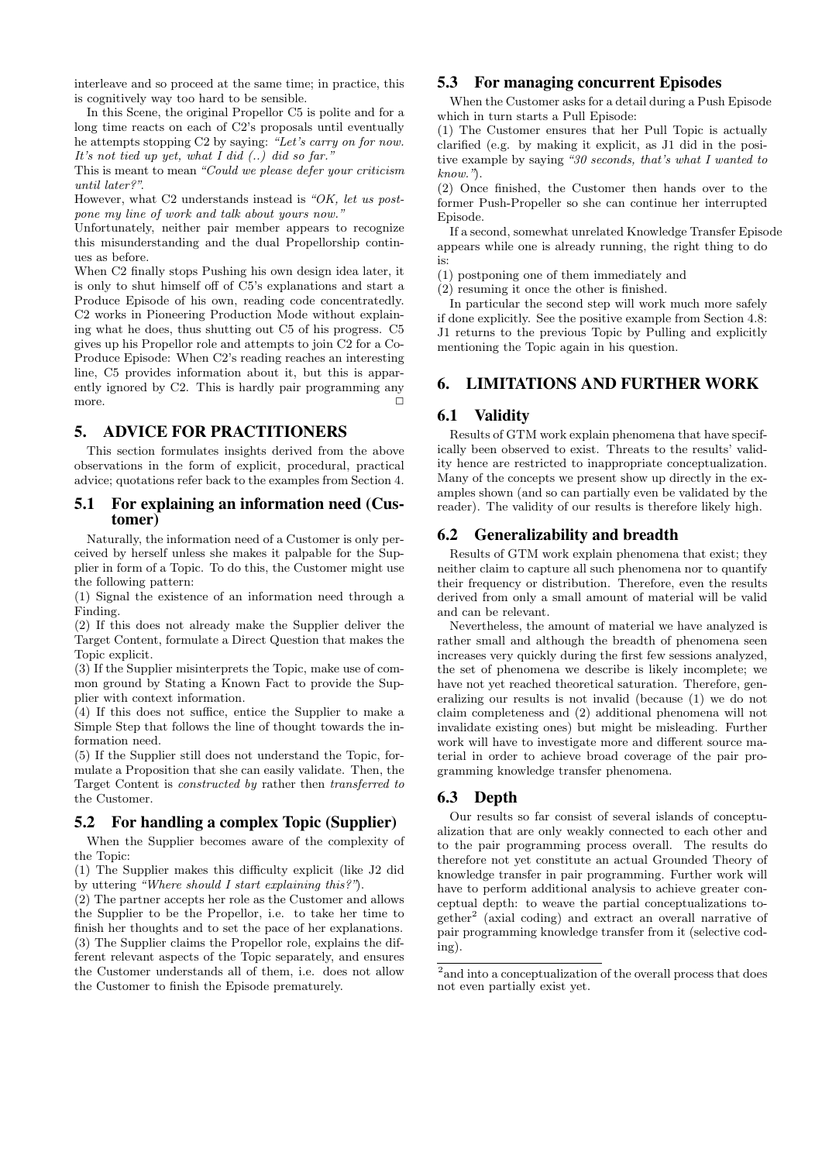interleave and so proceed at the same time; in practice, this is cognitively way too hard to be sensible.

In this Scene, the original Propellor C5 is polite and for a long time reacts on each of C2's proposals until eventually he attempts stopping C2 by saying: "Let's carry on for now. It's not tied up yet, what I did  $(.)$  did so far."

This is meant to mean "Could we please defer your criticism until later?".

However, what C2 understands instead is "OK, let us postpone my line of work and talk about yours now."

Unfortunately, neither pair member appears to recognize this misunderstanding and the dual Propellorship continues as before.

When C2 finally stops Pushing his own design idea later, it is only to shut himself off of C5's explanations and start a Produce Episode of his own, reading code concentratedly. C2 works in Pioneering Production Mode without explaining what he does, thus shutting out C5 of his progress. C5 gives up his Propellor role and attempts to join C2 for a Co-Produce Episode: When C2's reading reaches an interesting line, C5 provides information about it, but this is apparently ignored by C2. This is hardly pair programming any more.  $\Box$ 

# <span id="page-8-0"></span>5. ADVICE FOR PRACTITIONERS

This section formulates insights derived from the above observations in the form of explicit, procedural, practical advice; quotations refer back to the examples from Section [4.](#page-2-0)

# 5.1 For explaining an information need (Customer)

Naturally, the information need of a Customer is only perceived by herself unless she makes it palpable for the Supplier in form of a Topic. To do this, the Customer might use the following pattern:

(1) Signal the existence of an information need through a Finding.

(2) If this does not already make the Supplier deliver the Target Content, formulate a Direct Question that makes the Topic explicit.

(3) If the Supplier misinterprets the Topic, make use of common ground by Stating a Known Fact to provide the Supplier with context information.

(4) If this does not suffice, entice the Supplier to make a Simple Step that follows the line of thought towards the information need.

(5) If the Supplier still does not understand the Topic, formulate a Proposition that she can easily validate. Then, the Target Content is constructed by rather then transferred to the Customer.

# 5.2 For handling a complex Topic (Supplier)

When the Supplier becomes aware of the complexity of the Topic:

(1) The Supplier makes this difficulty explicit (like J2 did by uttering "Where should I start explaining this?").

(2) The partner accepts her role as the Customer and allows the Supplier to be the Propellor, i.e. to take her time to finish her thoughts and to set the pace of her explanations. (3) The Supplier claims the Propellor role, explains the different relevant aspects of the Topic separately, and ensures the Customer understands all of them, i.e. does not allow the Customer to finish the Episode prematurely.

### 5.3 For managing concurrent Episodes

When the Customer asks for a detail during a Push Episode which in turn starts a Pull Episode:

(1) The Customer ensures that her Pull Topic is actually clarified (e.g. by making it explicit, as J1 did in the positive example by saying "30 seconds, that's what I wanted to  $know.'$ .

(2) Once finished, the Customer then hands over to the former Push-Propeller so she can continue her interrupted Episode.

If a second, somewhat unrelated Knowledge Transfer Episode appears while one is already running, the right thing to do is:

(1) postponing one of them immediately and

(2) resuming it once the other is finished.

In particular the second step will work much more safely if done explicitly. See the positive example from Section [4.8:](#page-6-0) J1 returns to the previous Topic by Pulling and explicitly mentioning the Topic again in his question.

# <span id="page-8-1"></span>6. LIMITATIONS AND FURTHER WORK

# 6.1 Validity

Results of GTM work explain phenomena that have specifically been observed to exist. Threats to the results' validity hence are restricted to inappropriate conceptualization. Many of the concepts we present show up directly in the examples shown (and so can partially even be validated by the reader). The validity of our results is therefore likely high.

# <span id="page-8-2"></span>6.2 Generalizability and breadth

Results of GTM work explain phenomena that exist; they neither claim to capture all such phenomena nor to quantify their frequency or distribution. Therefore, even the results derived from only a small amount of material will be valid and can be relevant.

Nevertheless, the amount of material we have analyzed is rather small and although the breadth of phenomena seen increases very quickly during the first few sessions analyzed, the set of phenomena we describe is likely incomplete; we have not yet reached theoretical saturation. Therefore, generalizing our results is not invalid (because (1) we do not claim completeness and (2) additional phenomena will not invalidate existing ones) but might be misleading. Further work will have to investigate more and different source material in order to achieve broad coverage of the pair programming knowledge transfer phenomena.

# 6.3 Depth

Our results so far consist of several islands of conceptualization that are only weakly connected to each other and to the pair programming process overall. The results do therefore not yet constitute an actual Grounded Theory of knowledge transfer in pair programming. Further work will have to perform additional analysis to achieve greater conceptual depth: to weave the partial conceptualizations to-gether<sup>[2](#page-8-3)</sup> (axial coding) and extract an overall narrative of pair programming knowledge transfer from it (selective coding).

<span id="page-8-3"></span><sup>&</sup>lt;sup>2</sup> and into a conceptualization of the overall process that does not even partially exist yet.